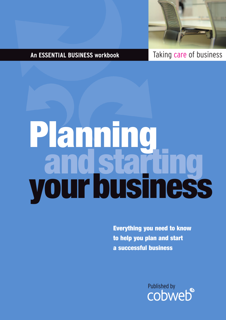

# **An ESSENTIAL BUSINESS workbook** Taking care of business

# **Planning andstarting yourbusiness**

**Everything you need to know to help you plan and start a successful business**

Published by<br> **CODWED**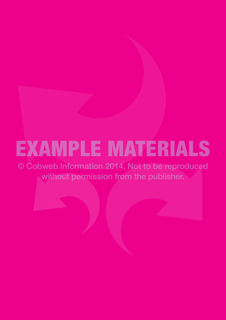# EXAMPLE MATERIALS

© Cobweb Information 2014. Not to be reproduced without permission from the publisher.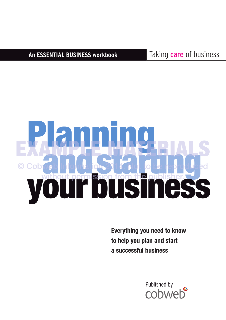**An ESSENTIAL BUSINESS workbook** Taking care of business

# **Planning andstarting yourbusiness** EXAMPLE MATERIALS © Cobweb Information 2014. Not to be reproduced without permission from the publisher.

**Everything you need to know to help you plan and start a successful business**

Published by<br>CODWeb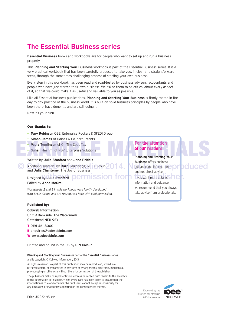# **The Essential Business series**

**Essential Business** books and workbooks are for people who want to set up and run a business properly.

This **Planning and Starting Your Business** workbook is part of the Essential Business series. It is a very practical workbook that has been carefully produced to take you, in clear and straightforward steps, through the sometimes challenging process of starting your own business.

Every step in this workbook has been read and road-tested by business advisers, accountants and people who have just started their own business. We asked them to be critical about every aspect of it, so that we could make it as useful and valuable to you as possible.

Like all Essential Business publications, **Planning and Starting Your Business** is firmly rooted in the day-to-day practice of the business world. It is built on solid business principles by people who have been there, have done it… and are still doing it.

Now it's your turn.

# **Our thanks to:**

- **Tony Robinson** OBE, Enterprise Rockers & SFEDI Group
- **Simon James** of Haines & Co, accountants
- **Paula Tomlinson** of On The Spot Tax
- **Suhail Hashmi** of NBV Enterprise Solutions

Written by **Julie Stanford** and **Jane Priddis**

C Additional material by **Ruth Lowbridge**, SFEDI Group 2014. Note that information, produced and **Julia Chanteray**, The Joy of Business

# Designed by **Julie Stanford**

Edited by **Anna McGrail**

*Worksheets 2 and 3 in this workbook were jointly developed with SFEDI Group and are reproduced here with kind permission.*

# **Published by:**

**Cobweb Information** Unit 9 Bankside, The Watermark Gateshead NE11 9SY

- **T** 0191 461 8000
- **E** enquiries@cobwebinfo.com
- **W** www.cobwebinfo.com

Printed and bound in the UK by **CPI Colour**

### **Planning and Starting Your Business** is part of the **Essential Business** series, and is copyright © Cobweb Information, 2013.

All rights reserved. No part of this publication may be reproduced, stored in a retrieval system, or transmitted in any form or by any means, electronic, mechanical, photocopying or otherwise without the prior permission of the publisher.

The publishers make no representation, express or implied, with regard to the accuracy of the information in this book. Whilst every care has been taken to ensure that the information is true and accurate, the publishers cannot accept responsibility for any omissions or inaccuracy appearing or the consequences thereof.

# **For the attention of our readers** • Paula Tomlinson of On The Spot Tax<br>• Suhail Hashmi of NBV Enterprise Solutions<br>Written by Julie Stanford and Jane Priddis

**Planning and Starting Your Business** offers business

guidance and information, and not direct advice. by Julie Stanford **permission from** it you want more detailed he<mark>r.</mark>

information and guidance, we recommend that you always take advice from professionals.



Price UK £32 .95 RRP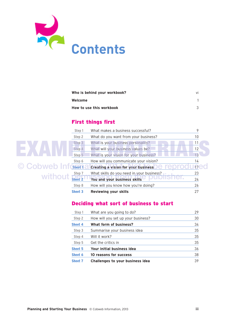

| Who is behind your workbook? |  |
|------------------------------|--|
| Welcome                      |  |
| How to use this workbook     |  |

# **First things first**

|                     | Step 1            | What makes a business successful?                           | 9               |
|---------------------|-------------------|-------------------------------------------------------------|-----------------|
|                     | Step 2            | What do you want from your business?                        | 10              |
|                     | Step <sub>3</sub> | What is your business personality?                          | 11              |
|                     | Step 4            | What will your business values be?                          | 12              |
|                     | Step <sub>5</sub> | What is your vision for your business?                      | 13              |
|                     | Step 6            | How will you communicate your vision?                       | 14              |
| © Cobweb Inf Cheef1 |                   | <b>Creating a vision for your business</b><br><b>TEDIO!</b> | 17 <sup>2</sup> |
|                     |                   | What skills do you need in your business?                   | 23              |
| without Sheet 2     |                   | You and your business skills                                | 24              |
|                     | Step 8            | How will you know how you're doing?                         | 26              |
|                     | <b>Sheet 3</b>    | Reviewing your skills                                       | 27              |

# **Deciding what sort of business to start**

| Step 1            | What are you going to do?          | 29 |
|-------------------|------------------------------------|----|
| Step <sub>2</sub> | How will you set up your business? | 30 |
| <b>Sheet 4</b>    | What form of business?             | 34 |
| Step 3            | Summarise your business idea       | 35 |
| Step 4            | Will it work?                      | 35 |
| Step 5            | Get the critics in                 | 35 |
| <b>Sheet 5</b>    | Your initial business idea         | 36 |
| Sheet 6           | 10 reasons for success             | 38 |
| <b>Sheet 7</b>    | Challenges to your business idea   | 39 |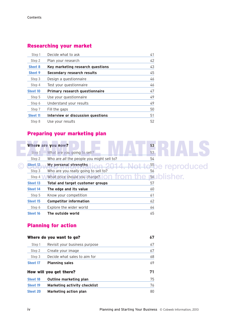# **Researching your market**

| Step 1            | Decide what to ask                    | 41 |
|-------------------|---------------------------------------|----|
| Step <sub>2</sub> | Plan your research                    | 42 |
| <b>Sheet 8</b>    | Key marketing research questions      | 43 |
| <b>Sheet 9</b>    | Secondary research results            | 45 |
| Step 3            | Design a questionnaire                | 46 |
| Step 4            | Test your questionnaire               | 46 |
|                   |                                       |    |
| <b>Sheet 10</b>   | <b>Primary research questionnaire</b> | 47 |
| Step 5            | Use your questionnaire                | 49 |
| Step 6            | Understand your results               | 49 |
| Step 7            | Fill the gaps                         | 50 |
| <b>Sheet 11</b>   | Interview or discussion questions     | 51 |

# **Preparing your marketing plan**

|                    | Where are you now?                                            | 53                        |
|--------------------|---------------------------------------------------------------|---------------------------|
| Step 1             | What are you going to sell?                                   | 53                        |
| Step 2             | Who are all the people you might sell to?                     | 54                        |
| Sheet 12<br>Step 3 | My personal strengths<br>Who are you really going to sell to? | 55<br>be reproduced<br>56 |
| Step 4             | What price should you charge?                                 | ∩lisher.<br>56            |
| <b>Sheet 13</b>    | Total and target customer groups                              | 57                        |
| <b>Sheet 14</b>    | The edge and its value                                        | 60                        |
| Step 5             | Know your competition                                         | 61                        |
| Sheet 15           | <b>Competitor information</b>                                 | 62                        |
| Step 6             | Explore the wider world                                       | 64                        |
| Sheet 16           | The outside world                                             | 65                        |

# **Planning for action**

|                 | Where do you want to go?            | 67 |
|-----------------|-------------------------------------|----|
| Step 1          | Revisit your business purpose       | 67 |
| Step 2          | Create your image                   | 67 |
| Step 3          | Decide what sales to aim for        | 68 |
| <b>Sheet 17</b> | <b>Planning sales</b>               | 69 |
|                 | How will you get there?             | 71 |
| <b>Sheet 18</b> | Outline marketing plan              | 75 |
| <b>Sheet 19</b> | <b>Marketing activity checklist</b> | 76 |
| <b>Sheet 20</b> | <b>Marketing action plan</b>        | 80 |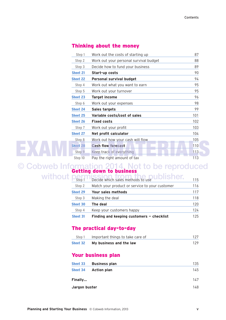# **Thinking about the money**

|  | Step 1          | Work out the costs of starting up      | 87  |
|--|-----------------|----------------------------------------|-----|
|  | Step 2          | Work out your personal survival budget | 88  |
|  | Step 3          | Decide how to fund your business       | 89  |
|  | <b>Sheet 21</b> | Start-up costs                         | 90  |
|  | <b>Sheet 22</b> | <b>Personal survival budget</b>        | 94  |
|  | Step 4          | Work out what you want to earn         | 95  |
|  | Step 5          | Work out your turnover                 | 95  |
|  | <b>Sheet 23</b> | <b>Target income</b>                   | 96  |
|  | 98              |                                        |     |
|  | <b>Sheet 24</b> | Sales targets                          | 99  |
|  | <b>Sheet 25</b> | Variable costs/cost of sales           | 101 |
|  | <b>Sheet 26</b> | <b>Fixed costs</b>                     | 102 |
|  | Step 7          | Work out your profit                   | 103 |
|  | <b>Sheet 27</b> | Net profit calculator                  | 104 |
|  | Step 8          | Work out how your cash will flow       | 105 |
|  | <b>Sheet 28</b> | <b>Cash flow forecast</b>              | 110 |
|  | Step 9          | Keep track of everything               | 113 |
|  | Step 10         | Pay the right amount of tax            | 113 |

# **Getting down to business** © Cobweb Information 2014. Not to be reproduced

|              | <b>Sheet 31</b>   | Finding and keeping customers $-$ checklist    | 125 |
|--------------|-------------------|------------------------------------------------|-----|
|              | Step 4            | Keep your customers happy                      | 124 |
|              | <b>Sheet 30</b>   | The deal                                       | 120 |
|              | Step 3            | Making the deal                                | 118 |
|              | <b>Sheet 29</b>   | Your sales methods                             | 117 |
|              | Step <sub>2</sub> | Match your product or service to your customer | 116 |
| without perr |                   | --<br>Decide which sales methods to use        | 115 |

# **The practical day-to-day**

| Sheet 32 | My business and the law          | 129 |
|----------|----------------------------------|-----|
| Step 1   | Important things to take care of | 127 |

# **Your business plan**

| Sheet 33       | <b>Business plan</b> | 135 |
|----------------|----------------------|-----|
| Sheet 34       | <b>Action plan</b>   | 145 |
| <b>Finally</b> |                      | 147 |
| Jargon buster  |                      | 148 |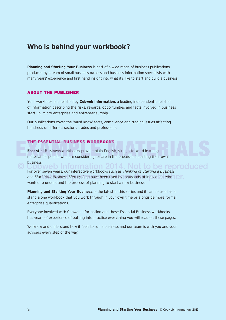# **Who is behind your workbook?**

**Planning and Starting Your Business** is part of a wide range of business publications produced by a team of small business owners and business information specialists with many years' experience and first-hand insight into what it's like to start and build a business.

# **ABOUT THE PUBLISHER**

Your workbook is published by **Cobweb Information**, a leading independent publisher of information describing the risks, rewards, opportunities and facts involved in business start up, micro-enterprise and entrepreneurship.

Our publications cover the 'must know' facts, compliance and trading issues affecting hundreds of different sectors, trades and professions.

# **THE ESSENTIAL BUSINESS WORKBOOKS**

**Essential Business** workbooks provide plain English, straightforward learning material for people who are considering, or are in the process of, starting their own business. THE ESSENTIAL BUSINESS WORKBOOKS<br>Essential Business workbooks provide plain English, straightforward learning<br>material for people who are considering, or are in the process of, starting their own

**OCOBUT SUBSEX**<br>
For over seven years, our interactive workbooks such as *Thinking of Starting a Business* and Start Your Business Step by Step have been used by thousands of individuals who wanted to understand the process of planning to start a new business.

**Planning and Starting Your Business** is the latest in this series and it can be used as a stand-alone workbook that you work through in your own time or alongside more formal enterprise qualifications.

Everyone involved with Cobweb Information and these Essential Business workbooks has years of experience of putting into practice everything you will read on these pages.

We know and understand how it feels to run a business and our team is with you and your advisers every step of the way.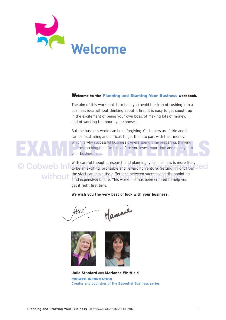

# **Welcome to the Planning and Starting Your Business workbook.**

The aim of this workbook is to help you avoid the trap of rushing into a business idea without thinking about it first. It is easy to get caught up in the excitement of being your own boss, of making lots of money, and of working the hours you choose…

But the business world can be unforgiving. Customers are fickle and it can be frustrating and difficult to get them to part with their money! Which is why successful business owners spend time preparing, thinking and researching first. Do this *before* you invest your time and money into your business idea. Which is why successful business owners spend time preparing, thinking<br>and researching first. Do this before you invest your time and money into<br>your business idea.

With careful thought, research and planning, your business is more likely © Cobweb Inf to be an exciting, profitable and rewarding venture. Getting it right from Ced the start can make the difference between success and disappointing **WithOUI** the start can make the difference between success and disappointing<br>(and expensive) failure. This workbook has been created to help you get it right first time.

# **We wish you the very best of luck with your business.**

Mananie Mul





**Julie Stanford** and **Marianne Whitfield COBWEB INFORMATION Creator and publisher of the Essential Business series**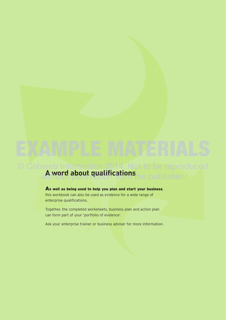# **A word about qualifications** © Cobweb Information 2014. Not to be reproduced without permission from the publisher.

**As well as being used to help you plan and start your business**, this workbook can also be used as evidence for a wide range of enterprise qualifications.

Together, the completed worksheets, business plan and action plan can form part of your 'portfolio of evidence'.

Ask your enterprise trainer or business adviser for more information.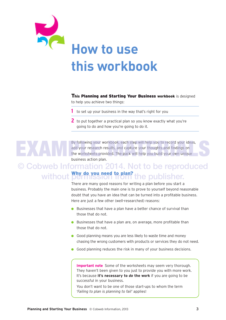

**This Planning and Starting Your Business workbook** is designed to help you achieve two things:

- **1** to set up your business in the way that's right for you
- **2** to put together a practical plan so you know exactly what you're going to do and how you're going to do it.

By following your workbook, each step will help you to record your ideas,<br>add your research results, and capture your thoughts and findings on<br>the worksheets provided. The pack will help you build your own unique<br>business add your research results, and capture your thoughts and findings on the worksheets provided. The pack will help you build your own unique business action plan.

# **Why do you need to plan?** without permission from the publisher.© Cobweb Information 2014. Not to be reproduced

There are many good reasons for writing a plan before you start a business. Probably the main one is to prove to yourself beyond reasonable doubt that you have an idea that can be turned into a profitable business. Here are just a few other (well-researched) reasons:

- $\bullet$  Businesses that have a plan have a better chance of survival than those that do not.
- $\bullet$  Businesses that have a plan are, on average, more profitable than those that do not.
- **.** Good planning means you are less likely to waste time and money chasing the wrong customers with products or services they do not need.
- **.** Good planning reduces the risk in many of your business decisions.

**Important note** Some of the worksheets may seem very thorough. They haven't been given to you just to provide you with more work. It's because **it's necessary to** *do* **the work** if you are going to be successful in your business.

You don't want to be one of those start-ups to whom the term *'Failing to plan is planning to fail'* applies!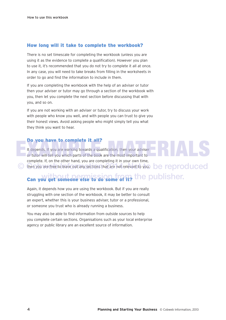# **How long will it take to complete the workbook?**

There is no set timescale for completing the workbook (unless you are using it as the evidence to complete a qualification). However you plan to use it, it's recommended that you do not try to complete it all at once. In any case, you will need to take breaks from filling in the worksheets in order to go and find the information to include in them.

If you are completing the workbook with the help of an adviser or tutor then your adviser or tutor may go through a section of the workbook with you, then let you complete the next section before discussing that with you, and so on.

If you are not working with an adviser or tutor, try to discuss your work with people who know you well, and with people you can trust to give you their honest views. Avoid asking people who might simply tell you what they think you want to hear.

# **Do you have to complete it all?**

It depends. If you are working towards a qualification, then your adviser or tutor will tell you which parts of the book are the most important to complete. If, on the other hand, you are completing it in your own time, C then you are free to leave out any sections that are not relevant to you. **De reproduced** It depends. If you are working towards a qualification, then your adviser<br>or tutor will tell you which parts of the book are the most important to<br>complete If on the other hand, you are completing it in your own time

# **Can you get someone else to do some of it?** the publisher.

Again, it depends how you are using the workbook. But if you are really struggling with one section of the workbook, it may be better to consult an expert, whether this is your business adviser, tutor or a professional, or someone you trust who is already running a business.

You may also be able to find information from outside sources to help you complete certain sections. Organisations such as your local enterprise agency or public library are an excellent source of information.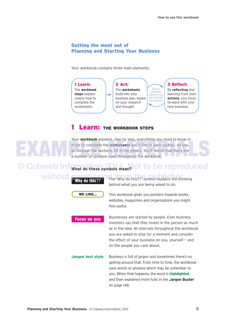# **Getting the most out of Planning and Starting Your Business**

Your workbook contains three main elements:



# **Learn: THE WORKBOOK STEPS**

Your **workbook** explains, step by step, everything you need to know in order to complete the **worksheets** you'll find in each section. As you go through the sections, fill in the sheets. You'll notice that there are a number of symbols used throughout the workbook. Four workbook explains, seep by step, everything you heed to know in<br>order to complete the worksheets you'll find in each section. As you<br>go through the sections, fill in the sheets. You'll notice that there are<br>a number o

**C** Cobweb Information 2014 and to be reproduced without **Pully in the 79th** The 'Why do this??' symbol explains the thinking

**Why do this??**





**Focus on you**

This workbook gives you pointers towards books, websites, magazines and organisations you might find useful.

Businesses are started by people. Even business investors say that they invest in the person as much as in the idea. At intervals throughout the workbook you are asked to stop for a moment and consider the effect of your business on you, yourself — and on the people you care about.

**Jargon text style** Business is full of jargon and sometimes there's no getting around that. From time to time, the workbook uses words or phrases which may be unfamiliar to you. When that happens, the word is **highlighted** and then explained more fully in the **Jargon Buster** on page 148.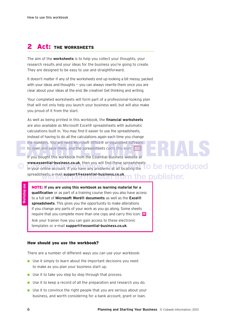# **2 Act: THE WORKSHEETS**

The aim of the **worksheets** is to help you collect your thoughts, your research results and your ideas for the business you're going to create. They are designed to be easy to use and straightforward.

It doesn't matter if any of the worksheets end up looking a bit messy, packed with your ideas and thoughts  $-$  you can always rewrite them once you are clear about your ideas at the end. Be creative! Get thinking and writing.

Your completed worksheets will form part of a professional-looking plan that will not only help you launch your business well, but will also make you proud of it from the start.

As well as being printed in this workbook, the **financial worksheets** are also available as Microsoft Excel® spreadsheets with automatic calculations built in. You may find it easier to use the spreadsheets, instead of having to do all the calculations again each time you change the numbers. You will need Microsoft Office® or equivalent software<br>
to open and save them, and the spreadsheets carry this icon:<br>
If you bought this workbook from the Essential Business website at to open and save them, and the spreadsheets carry this icon:

If you bought this workbook from the Essential Business website at **www.essential-business.co.uk**, then you will find these spreadsheets<br>in your online account. If you have any problems at all locating the **LO De reproduced** © in your online account. If you have any problems at all locating the **TO be reproduced** spreadsheets, e-mail **support@essential-business.co.uk**. he publisher.

**NOTE: If you are using this workbook as learning material for a qualification** or as part of a training course then you also have access to a full set of **Microsoft Word® documents** as well as the **Excel® spreadsheets**. This gives you the opportunity to make alterations if you change any parts of your work as you go along. Some sheets require that you complete more than one copy and carry this icon: **W** Ask your trainer how you can gain access to these electronic templates or e-mail **support@essential-business.co.uk**.

# **How should you use the workbook?**

There are a number of different ways you can use your workbook:

- $\bullet$  Use it simply to learn about the important decisions you need to make as you plan your business start up.
- $\bullet$  Use it to take you step by step through that process.
- **.** Use it to keep a record of all the preparation and research you do.
- $\bullet$  Use it to convince the right people that you are serious about your business, and worth considering for a bank account, grant or loan.

**Workshop use**

**Norkshop** use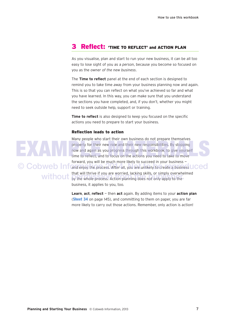# **3 Reflect: 'TIME TO REFLECT' and ACTION PLAN**

As you visualise, plan and start to run your new business, it can be all too easy to lose sight of you as a *person*, because you become so focused on you as the *owner of the new business*.

The **Time to reflect** panel at the end of each section is designed to remind you to take time *away* from your business planning now and again. This is so that you can reflect on what you've achieved so far and what you have learned. In this way, you can make sure that you understand the sections you have completed, and, if you don't, whether you might need to seek outside help, support or training.

**Time to reflect** is also designed to keep you focused on the specific actions you need to prepare to start your business.

# **Reflection leads to action**



Many people who start their own business do not prepare themselves properly for their new role and their new responsibilities. By stopping now and again as you progress through this workbook, to give yourself time to reflect, and to focus on the actions you need to take to move forward, you will be much more likely to succeed in your business — © Cobweb Infand enjoy the process. After all, you are unlikely to create a business JCed that will thrive if you are worried, lacking skills, or simply overwhelmed without that will thrive if you are worried, facking skills, or simply overwhere. business, it applies to you, too. properly for their new role and their new responsibilities. By stopping<br>now and again as you progress through this workbook, to give yourself<br>time to reflect, and to focus on the actions you need to take to move<br>forward wo

> **Learn**, **act**, **reflect** — then **act** again. By adding items to your **action plan** (**Sheet 34** on page 145), and committing to them on paper, you are far more likely to carry out those actions. Remember, only action is action!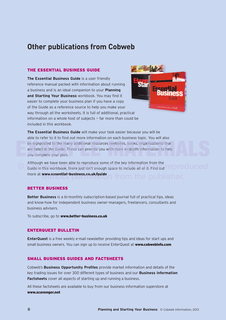# **Other publications from Cobweb**

# **THE ESSENTIAL BUSINESS GUIDE**

**The Essential Business Guide** is a user friendly reference manual packed with information about running a business and is an ideal companion to your **Planning and Starting Your Business** workbook. You may find it easier to complete your business plan if you have a copy of the Guide as a reference source to help you make your way through all the worksheets. It is full of additional, practical information on a whole host of subjects — far more than could be included in this workbook.



**The Essential Business Guide** will make your task easier because you will be able to refer to it to find out more information on each business topic. You will also be signposted to the many additional resources (websites, books, organisations) that are listed in the Guide. These can provide you with more in-depth information to help you complete your plan. are listed in the Guide. These can provide you with more in-depth information to help you complete your plan.

Although we have been able to reproduce some of the key information from the Guide in this workbook, there just isn't enough space to include all of it. Find out **COLICEC** more at **www.essential-business.co.uk/guide**

# **BETTER BUSINESS**

**Better Business** is a bi-monthly subscription-based journal full of practical tips, ideas and know-how for independent business owner-managers, freelancers, consultants and business advisers.

To subscribe, go to **www.better-business.co.uk**

# **ENTERQUEST BULLETIN**

**EnterQuest** is a free weekly e-mail newsletter providing tips and ideas for start ups and small business owners. You can sign up to receive EnterQuest at **www.cobwebinfo.com**

# **SMALL BUSINESS GUIDES AND FACTSHEETS**

Cobweb's **Business Opportunity Profiles** provide market information and details of the key trading issues for over 300 different types of business and our **Business Information Factsheets** cover all aspects of starting up and running a business.

All these factsheets are available to buy from our business information superstore at **www.scavenger.net**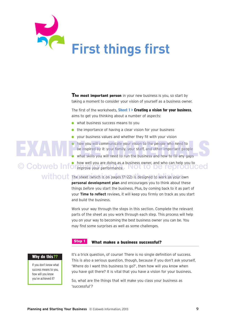

**The most important person** in your new business is you, so start by taking a moment to consider your vision of yourself as a business owner.

The first of the worksheets, **Sheet 1 > Creating a vision for your business**, aims to get you thinking about a number of aspects:

 $\bullet$  what business success means to you

and build the business.

- $\bullet$  the importance of having a clear vision for your business
- $\bullet$  your business values and whether they fit with your vision

# how you will communicate your vision to the people who need to be inspired by it: your family, your staff, and other important people THE MATERIAL ORDER WHO WAS UP TO MATERIALS YOU WILL COMMUNICATE YOUR STAFF, and other important people who need to be inspired by it: your family, your staff, and other important people what skills you will need to run the

 $\bullet$  what skills you will need to run the business and how to fill any gaps

C Cohweb Information well you are doing as a business owner, and who can help you to © Cobweb Informative your performance. Not to be reproduced

# without the sheet (which is on pages 17-22) is designed to work as your own **personal development plan** and encourages you to think about these things *before* you start the business. Plus, by coming back to it as part of your **Time to reflect** reviews, it will keep you firmly on track as you start

Work your way through the steps in this section. Complete the relevant parts of the sheet as you work through each step. This process will help you on your way to becoming the best business owner you can be. You may find some surprises as well as some challenges.

### **What makes a business successful? Step 1**

# **Why do this??**

If you don't know what success means to you, how will you know you've achieved it?

It's a trick question, of course! There is no single definition of success. This is also a serious question, though, because if you don't ask yourself, 'Where do I want this business to go?', then how will you know when you have got there? It is vital that you have a vision for your business.

So, what are the things that will make you class your business as 'successful'?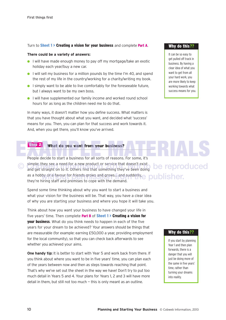# Turn to **Sheet 1 > Creating a vision for your business** and complete **Part A**.

# **There could be a variety of answers:**

- **I** will have made enough money to pay off my mortgage/take an exotic holiday each year/buy a new car.
- **I** will sell my business for a million pounds by the time I'm 40, and spend the rest of my life in the country/working for a charity/writing my book.
- **I** I simply want to be able to live comfortably for the foreseeable future, but I always want to be my own boss.
- **I** will have supplemented our family income and worked round school hours for as long as the children need me to do that.

In many ways, it doesn't matter how you define success. What matters is that you have thought about what you want, and decided what 'success' means for *you*. Then, you can plan for that success and work towards it. And, when you get there, you'll know you've arrived.

### **What do you want from your business? Step 2**

People decide to start a business for all sorts of reasons. For some, it's simple: they see a need for a new product or service that doesn't exist Coby simple: they see a need for a new product or service that doesn't exist<br>and get straight on to it. Others find that something they've been doing as a hobby or a favour for friends grows and grows... and suddenly,  $\epsilon$  oublisher. they're hiring staff and premises to cope with the demand.

Spend some time thinking about why you want to start a business and what your vision for the business will be. That way, you have a clear idea of why you are starting your business and where you hope it will take you.

Think about how you want your business to have changed your life in five years' time. Then complete **Part B** of **Sheet 1 > Creating a vision for your business**. What do you think needs to happen in each of the five years for your dream to be achieved? Your answers should be things that are measurable (for example: earning £50,000 a year, providing employment for the local community), so that you can check back afterwards to see whether you achieved your aims.

**One handy tip:** It is better to start with Year 5 and work back from there. If you think about where you want to be in five years' time, you can plan each of the years between now and then as steps towards reaching that point. That's why we've set out the sheet in the way we have! Don't try to put too much detail in Years 5 and 4. Your plans for Years 1, 2 and 3 will have more detail in them, but still not too much — this is only meant as an outline.

# **Why do this??**

It can be so easy to get pulled off track in business. By having a clear idea of what you want to get from all your hard work, you are more likely to keep working towards what success means for you.

# **Why do this??**

If you start by planning Year 1 and then plan forwards, there is a danger that you will just be doing more of the same in five years' time, rather than turning your dreams into reality.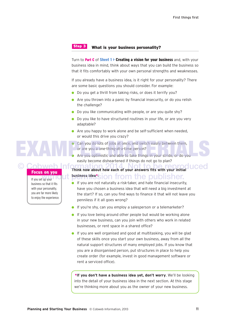### **What is your business personality? Step 3**

Turn to **Part C** of **Sheet 1 > Creating a vision for your business** and, with your business idea in mind, think about ways that you can build the business so that it fits comfortably with your own personal strengths and weaknesses.

If you already have a business idea, is it right for your personality? There are some basic questions you should consider. For example:

- **.** Do you get a thrill from taking risks, or does it terrify you?
- $\bullet$  Are you thrown into a panic by financial insecurity, or do you relish the challenge?
- $\bullet$  Do you like communicating with people, or are you quite shy?
- Do you like to have structured routines in your life, or are you very adaptable?
- $\bullet$  Are you happy to work alone and be self-sufficient when needed, or would this drive you crazy?
- Can you do lots of jobs at once, and switch easily between them, or are you a one-thing-at-a-time person?<br>Are you optimistic and able to take things in your stride, or do you or are you a one-thing-at-a-time person?
	- Are you optimistic and able to take things in your stride, or do you easily become disheartened if things do not go to plan?

**Cobweb Information 2014 Not to be reproduced With the publisher.** 

- $\bullet$  If you are not naturally a risk-taker, and hate financial insecurity, have you chosen a business idea that will need a big investment at the start? If so, can you find ways to finance it that will not leave you penniless if it all goes wrong?
- **If you're shy, can you employ a salesperson or a telemarketer?**
- $\bullet$  If you love being around other people but would be working alone in your new business, can you join with others who work in related businesses, or rent space in a shared office?
- $\bullet$  If you are well organised and good at multitasking, you will be glad of these skills once you start your own business, away from all the natural support structures of many employed jobs. If you know that you are a disorganised person, put structures in place to help you create order (for example, invest in good management software or rent a serviced office).

**\*If you don't have a business idea yet, don't worry**. We'll be looking into the detail of your business idea in the next section. At this stage we're thinking more about you as the owner of your new business.

# **Focus on you**

If you set up your business so that it fits with your personality, you are far more likely to enjoy the experience.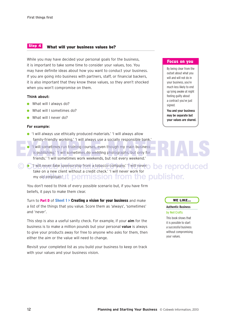### **What will your business values be? Step 4**

While you may have decided your personal goals for the business, it is important to take some time to consider your values, too. You may have definite ideas about how you want to conduct your business. If you are going into business with partners, staff, or financial backers, it is also important that they know these values, so they aren't shocked when you won't compromise on them.

# **Think about:**

- $\bullet$  What will I always do?
- **.** What will I sometimes do?
- **What will I never do?**

# **For example:**

- **.** 'I will always use ethically produced materials.' 'I will always allow family-friendly working.' 'I will always use a socially responsible bank.'
- **I** 'I will sometimes run training courses, even though my main business is publishing.' 'I will sometimes do wedding photographs, but only for friends.' 'I will sometimes work weekends, but not every weekend.' The Community of the Community of the Community of the Community of the Community of the Community of the Community of the Community of the Community of the Community of the Community of the Community of the Community of t
- © C'I will never take sponsorship from a tobacco company.' 'I will never **De reproduced** take on a new client without a credit check.' 'I will never work for my old employer.Ut permission from the publisher.

You don't need to think of every possible scenario but, if you have firm beliefs, it pays to make them clear.

Turn to **Part D** of **Sheet 1 > Creating a vision for your business** and make a list of the things that you value. Score them as 'always', 'sometimes' and 'never'.

This step is also a useful sanity check. For example, if your **aim** for the business is to make a million pounds but your personal **value** is always to give your products away for free to anyone who asks for them, then either the aim or the value will need to change.

Revisit your completed list as you build your business to keep on track with your values and your business vision.

# **Focus on you**

By being clear from the outset about what you will and will not do in your business, you're much less likely to end up lying awake at night feeling guilty about a contract you've just signed.

**You and your business may be separate but your values are shared.**

# **WE LIKE…**

## **Authentic Business**

## by Neil Crofts

This book shows that it is possible to start a successful business without compromising your values.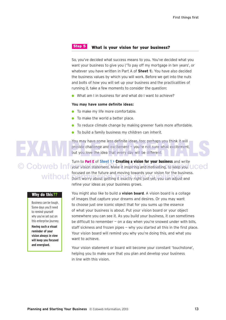# **Step 5**

# **What is your vision for your business?**

So, you've decided what success means to you. You've decided what you want your business to give you ('To pay off my mortgage in ten years', or whatever you have written in Part A of **Sheet 1**). You have also decided the business values by which you will work. Before we get into the nuts and bolts of how you will set up your business and the practicalities of running it, take a few moments to consider the question:

 $\bullet$  What am Lin business for and what do Lwant to achieve?

# **You may have some definite ideas:**

- $\bullet$  To make my life more comfortable.
- $\bullet$  To make the world a better place.
- **.** To reduce climate change by making greener fuels more affordable.
- $\bullet$  To build a family business my children can inherit.

You may have some less definite ideas, too; perhaps you think it will provide challenge and excitement — you're not sure what excitement, but you love the idea that every day will be different. You may have some less definite ideas, too; perhaps you think it will<br>provide challenge and excitement – you're not sure what excitement,<br>but you love the idea that every day will be different.

Turn to **Part E** of **Sheet 1 > Creating a vision for your business** and write © Cobweb Information statement. Make it inspiring and motivating, to keep you LCEC focused on the future and moving towards your vision for the business. without poused on the ruture and moving towards your vision for the busine. refine your ideas as your business grows.

> You might also like to build a **vision board**. A vision board is a collage of images that capture your dreams and desires. Or you may want to choose just one iconic object that for you sums up the essence of what your business is about. Put your vision board or your object somewhere you can see it. As you build your business, it can sometimes be difficult to remember  $-$  on a day when you're snowed under with bills, staff sickness and frozen pipes — why you started all this in the first place. Your vision board will remind you why you're doing this, and what you want to achieve.

Your vision statement or board will become your constant 'touchstone', helping you to make sure that you plan and develop your business in line with this vision.

# **Why do this??**

Business can be tough. Some days you'll need to remind yourself why you've set out on this enterprise journey. **Having such a visual reminder of your vision always in view will keep you focused and energised.**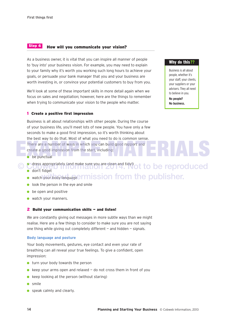### **How will you communicate your vision? Step 6**

As a business owner, it is vital that you can inspire all manner of people to 'buy into' your business vision. For example, you may need to explain to your family why it's worth you working such long hours to achieve your goals, or persuade your bank manager that you and your business are worth investing in, or convince your potential customers to buy from you.

We'll look at some of these important skills in more detail again when we focus on sales and negotiation; however, here are the things to remember when trying to communicate your vision to the people who matter.

# **1 Create a positive first impression**

Business is all about relationships with other people. During the course of your business life, you'll meet lots of new people. You have only a few seconds to make a good first impression, so it's worth thinking about the best way to do that. Most of what you need to do is common sense. There are a number of ways in which you can build good rapport and<br>create a good impression from the start, including:<br>
be punctual create a good impression from the start, including:

- $\bullet$  be punctual
- © Cdress appropriately (and make sure you are clean and tidy!) ot to be reproduced
	- **o** don't fidget
	- watch your body language ermission from the publisher.
	- $\bullet$  look the person in the eye and smile
	- $\bullet$  be open and positive
	- **watch your manners.**

# **2 Build your communication skills — and listen!**

We are constantly giving out messages in more subtle ways than we might realise. Here are a few things to consider to make sure you are not saying one thing while giving out completely different  $-$  and hidden  $-$  signals.

# **Body language and posture**

Your body movements, gestures, eye contact and even your rate of breathing can all reveal your true feelings. To give a confident, open impression:

- $\bullet$  turn your body towards the person
- le keep your arms open and relaxed  $-$  do not cross them in front of you
- $\bullet$  keep looking at the person (without staring)
- $\bullet$  smile
- speak calmly and clearly.

# **Why do this??**

Business is all about people, whether it's your staff, your clients, your suppliers or your advisers. They all need to believe in you.

**No people? No business.**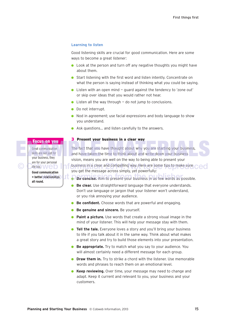# **Learning to listen**

Good listening skills are crucial for good communication. Here are some ways to become a great listener:

- $\bullet$  Look at the person and turn off any negative thoughts you might have about them.
- Start listening with the first word and listen intently. Concentrate on what the person is saying instead of thinking what *you* could be saying.
- $\bullet$  Listen with an open mind quard against the tendency to 'zone out' or skip over ideas that you would rather not hear.
- $\bullet$  Listen all the way through  $\overline{\phantom{a}}$  do not jump to conclusions.
- Do not interrupt.
- $\bullet$  Nod in agreement; use facial expressions and body language to show you understand.
- Ask questions... and listen carefully to the answers.

Great communication skills are not just for your business, they are for your personal life too.

**Good communication = better relationships all round.**

**3 Present your business in a clear way**

The fact that you have thought about why you are starting your business. and have taken the time to think about and write down your business vision, means you are well on the way to being able to present your Cobusiness in a clear and compelling way. Here are some tips to make sure ced you get the message across simply, yet powerfully: **Focus on you**<br> **Example 19 Your State Communication**<br>
Stream communication<br>
Stream communication<br>
Stream and have taken the time to think about and write down your business<br>
your business, they<br>
vision, means you are well

- In Be concise. Aim to present your business in as few words as possible.
	- **Be clear.** Use straightforward language that everyone understands. Don't use language or jargon that your listener won't understand, or you risk annoying your audience.
	- **Be confident.** Choose words that are powerful and engaging.
	- **Be genuine and sincere.** Be yourself.
	- **Paint a picture.** Use words that create a strong visual image in the mind of your listener. This will help your message stay with them.
	- **Tell the tale.** Everyone loves a story and you'll bring your business to life if you talk about it in the same way. Think about what makes a great story and try to build those elements into your presentation.
	- **Be appropriate.** Try to match what you say to your audience. You will almost certainly need a different message for each group.
	- **Draw them in.** Try to strike a chord with the listener. Use memorable words and phrases to reach them on an emotional level.
	- **Keep reviewing.** Over time, your message may need to change and adapt. Keep it current and relevant to you, your business and your customers.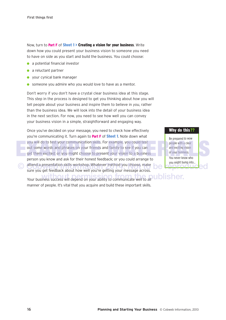Now, turn to **Part F** of **Sheet 1 > Creating a vision for your business**. Write down how you could present your business vision to someone you need to have on side as you start and build the business. You could choose:

- $\bullet$  a potential financial investor
- $\bullet$  a reluctant partner
- **vour cynical bank manager**
- **.** someone you admire who you would love to have as a mentor.

Don't worry if you don't have a crystal clear business idea at this stage. This step in the process is designed to get you thinking about *how* you will tell people about your business and inspire them to believe in *you*, rather than the business idea. We will look into the detail of your business idea in the next section. For now, you need to see how well you can convey your business vision in a simple, straightforward and engaging way.

Once you've decided on your message, you need to check how effectively you're communicating it. Turn again to **Part F** of **Sheet 1**. Note down what you will do to test your communication skills. For example, you could test out some words and phrases on your friends and family to see if you can get them excited; or you might choose to present your vision to a business person you know and ask for their honest feedback; or you could arrange to end a presentation skills workshop. Whatever method you choose, make<br>Sure you get feedback about how well you're getting your message across sure you get feedback about how well you're getting your message across. you will do to test your communication skills. For example, you could test<br>out some words and phrases on your friends and family to see if you can<br>get them excited; or you might choose to present your vision to a business

Your business success will depend on your ability to communicate well to all **ublisher.** manner of people. It's vital that you acquire and build these important skills.

# **Why do this??**

Be prepared to wow people with a clear and exciting vision of your business. You never know who you might bump into…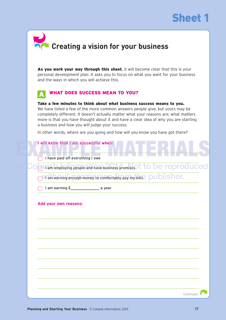

| $\blacktriangleright$ |                                               |  |  |
|-----------------------|-----------------------------------------------|--|--|
|                       | <b>De Creating a vision for your business</b> |  |  |

**As you work your way through this sheet**, it will become clear that this is your personal development plan. It asks you to focus on what you want for your business and the ways in which you will achieve this.

### **WHAT DOES SUCCESS MEAN TO YOU? A**

**Take a few minutes to think about what business success means to you.**  We have listed a few of the more common answers people give, but yours may be completely different. It doesn't actually matter what your reasons are; what matters more is that you have thought about it and have a clear idea of why you are starting a business and how you will judge your success.

In other words, where are you going and how will you know you have got there?

|  | I will know that I am successful when: |  |                                  |  |  |  |  |
|--|----------------------------------------|--|----------------------------------|--|--|--|--|
|  |                                        |  |                                  |  |  |  |  |
|  |                                        |  |                                  |  |  |  |  |
|  |                                        |  | I have paid off everything I owe |  |  |  |  |

**Cobware employing people and have business premises t to be reproduced** 

I am earning enough money to comfortably pay my bills  $\rho$  ublisher.

I am earning  $E$  a year

# **Add your own reasons:**

Continued…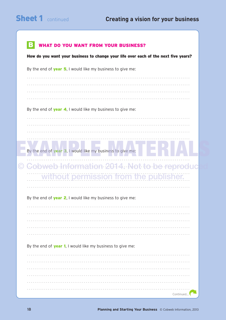| <b>WHAT DO YOU WANT FROM YOUR BUSINESS?</b>                                         |
|-------------------------------------------------------------------------------------|
|                                                                                     |
| How do you want your business to change your life over each of the next five years? |
| By the end of <b>year 5</b> , I would like my business to give me:                  |
|                                                                                     |
|                                                                                     |
|                                                                                     |
|                                                                                     |
| By the end of <b>year 4.</b> I would like my business to give me:                   |
|                                                                                     |
|                                                                                     |
|                                                                                     |
|                                                                                     |
| By the end of year 3, I would like my business to give me:                          |
| Cobweb Information 2014. Not to be reproduc                                         |
| without permission from the publisher.                                              |
|                                                                                     |
| By the end of <b>year 2</b> , I would like my business to give me:                  |
|                                                                                     |
|                                                                                     |
|                                                                                     |
|                                                                                     |
|                                                                                     |
| By the end of <b>year 1</b> , I would like my business to give me:                  |
|                                                                                     |
|                                                                                     |
|                                                                                     |
|                                                                                     |
|                                                                                     |
| Continued                                                                           |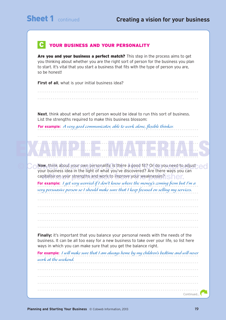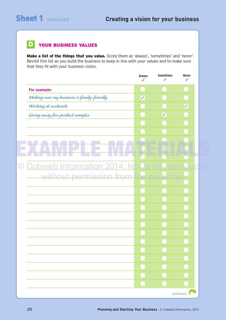### **YOUR BUSINESS VALUES D**

Make a list of the things that you value. Score them as 'always', 'sometimes' and 'never'. Revisit this list as you build the business to keep in line with your values and to make sure that they fit with your business vision.

|                                            | <b>Always</b>           | <b>Sometimes</b> | <b>Never</b> |
|--------------------------------------------|-------------------------|------------------|--------------|
| For example:                               |                         |                  |              |
| Making sure my business is family-friendly | $\overline{\checkmark}$ |                  |              |
| Working at weekends                        |                         |                  | $\checkmark$ |
| Giving away free product samples           |                         | $\checkmark$     |              |
|                                            |                         |                  |              |
|                                            |                         |                  |              |
|                                            |                         |                  |              |
|                                            |                         |                  |              |
|                                            |                         |                  |              |
| <b>Cobweb Information 2014. N</b>          |                         |                  |              |
| without permission from                    |                         | L.               |              |
|                                            |                         |                  |              |
|                                            |                         |                  |              |
|                                            |                         |                  |              |
|                                            |                         |                  |              |
|                                            |                         |                  |              |
|                                            |                         |                  |              |
|                                            |                         |                  |              |
|                                            |                         |                  |              |
|                                            |                         |                  |              |
|                                            |                         |                  |              |
|                                            |                         |                  |              |
|                                            |                         |                  |              |
|                                            |                         |                  |              |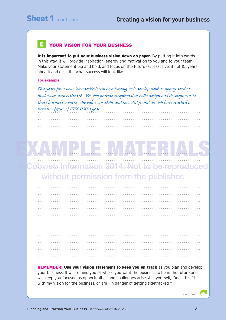# **YOUR VISION FOR YOUR BUSINESS E**

**It is important to put your business vision down on paper.** By putting it into words in this way, it will provide inspiration, energy and motivation to you and to your team. Make your statement big and bold, and focus on the future (at least five, if not 10, years ahead) and describe what success will look like.

# **For example:**

. . . . . . . . . . . . . . . . . . . . . . . . . . . . . . . . . . . . . . . . . . . . . . . . . . . . . . . . . . . . . . . . . . . . . . . . . . . . . . . . . . . . . . Five years from now, WonderWeb will be a leading web development company serving  $\ldots$ businesses across the UK. We will provide exceptional website design and development to those business owners who value our skills and knowledge and we will have reached a . . . . . . . . . . . . . . . . . . . . . . . . . . . . . . . . . . . . . . . . . . . . . . . . . . . . . . . . . . . . . . . . . . . . . . . . . . . . . . . . . . . . . . *turnover figure of £750,000 a year.*

. . . . . . . . . . . . . . . . . . . . . . . . . . . . . . . . . . . . . . . . . . . . . . . . . . . . . . . . . . . . . . . . . . . . . . . . . . . . . . . . . . . . . . . . . . . . . . . . . . . . . . . . . . . . . . . . . . . . . . . . . . . . . . . . . . . . . . . . . . . . . . . . . . . . . . . . . . . . . . . . . . . . . . . . . . . . . . . . . . . . . . . . . . . . . . . . . . . . . . . . . . . . . . . . . . . . . . . . . . . . . . . . . . . . . . . . . . . . . . . . . . . . . . . . . . . . . . . . . .

# . . . . . . . . . . . . . . . . . . . . . . . . . . . . . . . . . . . . . . . . . . . . . . . . . . . . . . . . . . . . . . . . . . . . . . . . . . . . . . . . . . . . . . . . . . . . . . . . . . . . . . . . . . . . . . . . . . . . . . . . . . . . . . . . . . . . . . . . . . . . . . . . . . . . . . . . . . . . . . . . . . . . . . . . . . . . . . . . . . . . . . . . . . . . . . . . . . . . . . . . . . . . . . . . . . . . . . . . . . . . . . . . . . . . . . . . . . . . . . . . . . . . . . . . . . . . . . . . . . EXAMPLE MATERIALS

. . . . . . . . . . . . . . . . . . . . . . . . . . . . . . . . . . . . . . . . . . . . . . . . . . . . . . . . . . . . . . . . . . . . . . . . . . . . . . . . . . . . . .

© Cobweb Information 2014. Not to be reproduced . . . . . . . . . . . . . . . . . . . . . . . . . . . . . . . . . . . . . . . . . . . . . . . . . . . . . . . . . . . . . . . . . . . . . . . . . . . . . . . . . . . . . . without permission from the publisher.

**REMEMBER: Use your vision statement to keep you on track** as you plan and develop your business. It will remind you of where you want the business to be in the future and will keep you focused as opportunities and challenges arise. Ask yourself, 'Does this fit with my vision for the business, or am I in danger of getting sidetracked?'

Continued…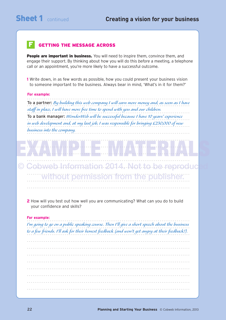### **GETTING THE MESSAGE ACROSS F**

**People are important in business.** You will need to inspire them, convince them, and engage their support. By thinking about how you will do this *before* a meeting, a telephone call or an appointment, you're more likely to have a successful outcome.

**1** Write down, in as few words as possible, how you could present your business vision to someone important to the business. Always bear in mind, 'What's in it for them?'

# **For example:**

. . . . . . . . . . . . . . . . . . . . . . . . . . . . . . . . . . . . . . . . . . . . . . . . . . . . . . . . . . . . . . . . . . . . . . . . . . . . . . . . . . . . . . To a partner: By building this web company I will earn more money and, as soon as I have . . . . . . . . . . . . . . . . . . . . . . . . . . . . . . . . . . . . . . . . . . . . . . . . . . . . . . . . . . . . . . . . . . . . . . . . . . . . . . . . . . . . . . *staff in place, I will have more free time to spend with you and our children.* To a bank manager: WonderWeb will be successful because I have 10 years' experience in web development and, at my last job, I was responsible for bringing £230,000 of new  $\ldots$ . . . . . . . . . . . . . . . . . . . . . . . . . . . . . . . . . . . . . . . . . . . . . . . . . . . . . . . . . . . . . . . . . . . . . . . . . . . . . . . . . . . . . . *business into the company.*

. . . . . . . . . . . . . . . . . . . . . . . . . . . . . . . . . . . . . . . . . . . . . . . . . . . . . . . . . . . . . . . . . . . . . . . . . . . . . . . . . . . . . . . . . . . . . . . . . . . . . . . . . . . . . . . . . . . . . . . . . . . . . . . . . . . . . . . . . . . . . . . . . . . . . . . . . . . . . . . . . . . . . . . . . . . . . . . . . . . . . . . . . . . . . . . . . . . . . . . . . . . . . . . . . . . . . . . . . . . . . . . . . . . . . . . . . . . . . . . . . . . . . . . . . . . . . . . . . . . . . . . . . . . . . . . . . . . . . . . . . . . . . . . . . . . . . . . . . . . . . . . . . . . . . . . . . . . . . . . . . . . . . . . . . . . . . . . . . . . . . . . .

© Cobweb Information 2014. Not to be reproduc<mark>ed</mark> . . . . . . . . . . . . . . . . . . . . . . . . . . . . . . . . . . . . . . . . . . . . . . . . . . . . . . . . . . . . . . . . . . . . . . . . . . . . . . . . . . . . . . . . . . . . . . . . . . . . . . . . . . . . . . . . . . . . . . . . . . . . . . . . . . . . . . . . . . . . . . . . . . . . . . . . . . . . . . . . . . . . . . . . . . . . . . . . . . . . . . . . . . . . . . . . . . . . . . . . . . . . . . . . . . . . . . . . . . . . . . . . . . . . . . . . . . . . . . . . . . . . . . . . . . . . . . . . . .

without permission from the publisher.

EXAMPLE HEIMANDS

**2** How will you test out how well you are communicating? What can you do to build your confidence and skills?

# **For example:**

. . . . . . . . . . . . . . . . . . . . . . . . . . . . . . . . . . . . . . . . . . . . . . . . . . . . . . . . . . . . . . . . . . . . . . . . . . . . . . . . . . . . . . I'm going to go on a public speaking course. Then I'll give a short speech about the business to a few friends. I'll ask for their honest feedback (and won't get angry at their feedback!).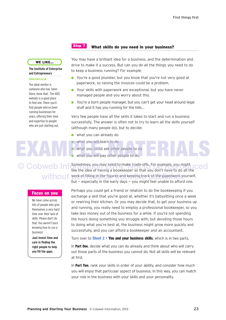# **Step 7**

# **What skills do you need in your business?**

**WE LIKE…**

**The Institute of Enterprise and Entrepreneurs**

# www.ioee.co.uk

The ideal mentor is someone who has 'been there, done that'. The IOEE website is a good place to find one. There you'll find people who've been running businesses for years, offering their time and expertise to people who are just starting out.

# What you will learn to do<br>What you could ask other people to do.

# **Focus on you**

We have come across lots of people who give themselves a very hard time over their lack of skills. Please don't do that. You weren't born knowing how to run a business!

**Just invest time and care in finding the right people to help you fill the gaps.**

You may have a brilliant idea for a business, and the determination and drive to make it a success. But can you do all the things you need to do to keep a business running? For example:

- **.** You're a good plumber, but you know that you're not very good at paperwork, so raising the invoices could be a problem.
- **•** Your skills with paperwork are exceptional, but you have never managed people and you worry about this.
- You're a born people manager, but you can't get your head around legal stuff and it has you running for the hills…

Very few people have *all* the skills it takes to start and run a business successfully. The answer is often not to try to learn all the skills yourself (although many people do), but to decide:

- what you can already do
- what you will learn to do
- **.** what you could ask other people to do
	- what you will pay other people to do.

C Cobweb Informatimes, you may need to make trade-offs. For example, you might ceed like the idea of having a bookkeeper so that you don't have to do all the without work of filling in the figures and keeping track of the paperwork yourself, but  $-$  especially in the early days  $-$  you might feel unable to afford one.

> Perhaps you could get a friend or relation to do the bookkeeping if you exchange a skill that you're good at, whether it's babysitting once a week or rewiring their kitchen. Or you may decide that, to get your business up and running, you really need to employ a professional bookkeeper, so you take less money out of the business for a while. If you're not spending the hours doing something you struggle with, but devoting those hours to doing what you're best at, the business might grow more quickly and successfully, and you can afford a bookkeeper *and* an accountant.

Turn over to **Sheet 2 > You and your business skills**, which is in two parts.

In **Part One**, decide what you can do already and think about who will carry out those parts of the business you cannot do. Not all skills will be relevant at first.

In **Part Two**, rank your skills in order of your ability, and consider how much you will enjoy that particular aspect of business. In this way, you can match your role in the business with your skills and your personality.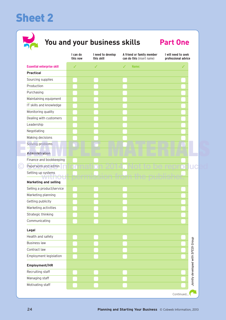# **Sheet 2**



# **You and your business skills Part One**

|                                   | I can do<br>this now | I need to develop<br>this skill | A friend or family member<br>can do this (insert name) | I will need to seek<br>professional advice |
|-----------------------------------|----------------------|---------------------------------|--------------------------------------------------------|--------------------------------------------|
| <b>Essential enterprise skill</b> | $\checkmark$         | $\checkmark$                    | Name:<br>✓                                             | ✓                                          |
| <b>Practical</b>                  |                      |                                 |                                                        |                                            |
| Sourcing supplies                 |                      |                                 |                                                        |                                            |
| Production                        |                      |                                 |                                                        |                                            |
| Purchasing                        |                      |                                 |                                                        |                                            |
| Maintaining equipment             |                      |                                 |                                                        |                                            |
| IT skills and knowledge           |                      |                                 |                                                        |                                            |
| Monitoring quality                |                      |                                 |                                                        |                                            |
| Dealing with customers            |                      |                                 |                                                        |                                            |
| Leadership                        |                      |                                 |                                                        |                                            |
| Negotiating                       |                      |                                 |                                                        |                                            |
| Making decisions                  |                      |                                 |                                                        |                                            |
| Solving problems                  |                      |                                 |                                                        |                                            |
| Administration                    |                      |                                 |                                                        |                                            |
| Finance and bookkeeping           |                      |                                 |                                                        |                                            |
| Paperwork and admin               |                      |                                 |                                                        |                                            |
| Setting up systems                |                      |                                 |                                                        |                                            |
| <b>Marketing and selling</b>      |                      |                                 |                                                        |                                            |
| Selling a product/service         |                      |                                 |                                                        |                                            |
| Marketing planning                |                      |                                 |                                                        |                                            |
| Getting publicity                 |                      |                                 |                                                        |                                            |
| Marketing activities              |                      |                                 |                                                        |                                            |
| Strategic thinking                |                      |                                 |                                                        |                                            |
| Communicating                     |                      |                                 |                                                        |                                            |
| Legal                             |                      |                                 |                                                        |                                            |
| Health and safety                 |                      |                                 |                                                        |                                            |
| <b>Business law</b>               |                      |                                 |                                                        |                                            |
| Contract law                      |                      |                                 |                                                        |                                            |
| Employment legislation            |                      |                                 |                                                        |                                            |
| Employment/HR                     |                      |                                 |                                                        | Jointly developed with SFEDI Group         |
| Recruiting staff                  |                      |                                 |                                                        |                                            |
| Managing staff                    |                      |                                 |                                                        |                                            |
| Motivating staff                  |                      |                                 |                                                        |                                            |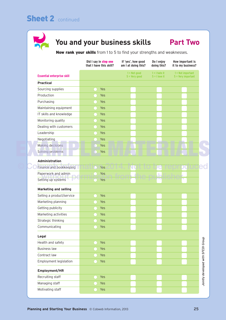# **Sheet 2** continued



# **You and your business skills Part Two**

**Now rank your skills** from 1 to 5 to find your strengths and weaknesses.

|                                   | Did I say in step one<br>that I have this skill? | If 'yes', how good<br>am I at doing this? | Do I enjoy<br>doing this?          | How important is<br>it to my business?      |                                    |
|-----------------------------------|--------------------------------------------------|-------------------------------------------|------------------------------------|---------------------------------------------|------------------------------------|
| <b>Essential enterprise skill</b> |                                                  | $1 = Not good$<br>$5 =$ Very good         | $1 = 1$ hate it<br>$5 = 1$ love it | $1 = Not important$<br>$5 =$ Very important |                                    |
| <b>Practical</b>                  |                                                  |                                           |                                    |                                             |                                    |
| Sourcing supplies                 | Yes                                              |                                           |                                    |                                             |                                    |
| Production                        | Yes                                              |                                           |                                    |                                             |                                    |
| Purchasing                        | Yes                                              |                                           |                                    |                                             |                                    |
| Maintaining equipment             | Yes                                              |                                           |                                    |                                             |                                    |
| IT skills and knowledge           | Yes                                              |                                           |                                    |                                             |                                    |
| Monitoring quality                | Yes                                              |                                           |                                    |                                             |                                    |
| Dealing with customers            | Yes                                              |                                           |                                    |                                             |                                    |
| Leadership                        | Yes                                              |                                           |                                    |                                             |                                    |
| Negotiating                       | Yes                                              |                                           |                                    |                                             |                                    |
| Making decisions                  | Yes                                              |                                           |                                    |                                             |                                    |
| Solving problems                  | Yes<br>m                                         |                                           |                                    |                                             |                                    |
| Administration                    |                                                  |                                           |                                    |                                             |                                    |
| Finance and bookkeeping           | Yes                                              |                                           |                                    |                                             |                                    |
| Paperwork and admin               | Yes                                              |                                           |                                    |                                             |                                    |
| Setting up systems                | Yes                                              |                                           |                                    |                                             |                                    |
| <b>Marketing and selling</b>      |                                                  |                                           |                                    |                                             |                                    |
| Selling a product/service         | Yes                                              |                                           |                                    |                                             |                                    |
| Marketing planning                | Yes                                              |                                           |                                    |                                             |                                    |
| Getting publicity                 | Yes                                              |                                           |                                    |                                             |                                    |
| Marketing activities              | Yes                                              |                                           |                                    |                                             |                                    |
| Strategic thinking                | Yes                                              |                                           |                                    |                                             |                                    |
| Communicating                     | Yes                                              |                                           |                                    |                                             |                                    |
|                                   |                                                  |                                           |                                    |                                             |                                    |
| Legal                             |                                                  |                                           |                                    |                                             |                                    |
| Health and safety                 | Yes                                              |                                           |                                    |                                             |                                    |
| <b>Business law</b>               | Yes                                              |                                           |                                    |                                             |                                    |
| Contract law                      | Yes                                              |                                           |                                    |                                             |                                    |
| Employment legislation            | Yes                                              |                                           |                                    |                                             |                                    |
| Employment/HR                     |                                                  |                                           |                                    |                                             |                                    |
| Recruiting staff                  | Yes                                              |                                           |                                    |                                             | Jointly developed with SFEDI Group |
| Managing staff                    | Yes                                              |                                           |                                    |                                             |                                    |
| Motivating staff                  | Yes                                              |                                           |                                    |                                             |                                    |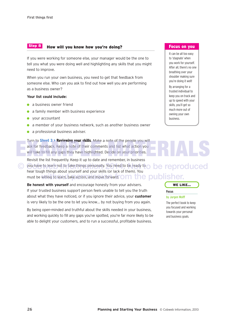### **How will you know how you're doing? Step 8**

If you were working for someone else, your manager would be the one to tell you what you were doing well and highlighting any skills that you might need to improve.

When you run your own business, you need to get that feedback from someone else. Who can you ask to find out how well you are performing as a business owner?

# **Your list could include:**

- $\bullet$  a business owner friend
- a family member with business experience
- $\bullet$  your accountant
- $\bullet$  a member of your business network, such as another business owner
- **a** a professional business adviser.

Turn to **Sheet 3 > Reviewing your skills**. Make a note of the people you will ask for feedback. Keep a note of their comments and list what action you will take to fill any gaps they have highlighted. Decide on your priorities. Furn to Sheet 3 > Reviewing your SKIIIS. Make a note of the people you will<br>ask for feedback. Keep a note of their comments and list what action you<br>will take to fill any gaps they have highlighted. Decide on your prioriti

Revisit the list frequently. Keep it up to date and remember, in business C you have to learn not to take things personally. You need to be ready to **be reproduced** hear tough things about yourself and your skills (or lack of them). You must be willing to learn, take action, and move forward. Om the publisher.

**Be honest with yourself** and encourage honesty from your advisers. If your trusted business support person feels unable to tell you the truth about what they have noticed, or if you ignore their advice, your **customer**  is very likely to be the one to let you know… by not buying from you again.

By being open-minded and truthful about the skills needed in your business, and working quickly to fill any gaps you've spotted, you're far more likely to be able to delight your customers, and to run a successful, profitable business.

# **Focus on you**

It can be all too easy to 'stagnate' when you work for yourself. After all, there's no one breathing over your shoulder making sure you're doing it well! By arranging for a trusted individual to keep you on track and up to speed with your skills, you'll get so much more out of owning your own business.

# **WE LIKE…**



by Jurgen Wolff

The perfect book to keep you focused and working towards your personal and business goals.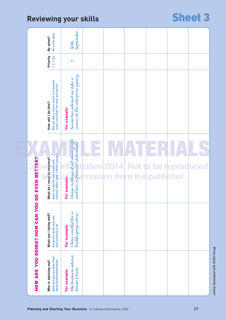# Reviewing your skills **Sheet 3**

|                                | Set a firm date!<br>By when?                                                                                    | 30th<br>September                                                                     |        |                             |                           |    |
|--------------------------------|-----------------------------------------------------------------------------------------------------------------|---------------------------------------------------------------------------------------|--------|-----------------------------|---------------------------|----|
|                                | Priority<br>1, 2, 3 etc                                                                                         |                                                                                       |        |                             |                           |    |
|                                | Will you take a course, invest in a business<br>coach, self-study? Be clear and specific<br>How will I do this? | course at the enterprise agency<br>Susan has advised me take a<br>For example:        |        |                             |                           |    |
| DO EVEN BETTER?                | yourself: better skills = better business<br>What do I need to improve?<br>Again, be specific and honest with   | I know nothing at all about profit<br>and loss or fuancial statements<br>For example: | hation | mission from the publisher. | 2014. Not to be reproduce |    |
| HOW ARE YOU DOING? HOW CAN YOU | What am I doing well?<br>Be specific about what you<br>have achieved so far                                     | I have enrolled for a<br>bookkeeping course<br>For example:                           |        |                             |                           |    |
|                                | Name and how you know them:<br>family/friend/mentor/other<br>Who is advising me?                                | My business adviser,<br>Susan Urwin<br>For example:                                   |        |                             |                           |    |
|                                |                                                                                                                 | Planning and Starting Your Business © Cobweb Information, 2013                        |        |                             |                           | 27 |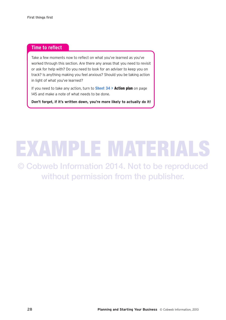# **Time to reflect**

Take a few moments now to reflect on what you've learned as you've worked through this section. Are there any areas that you need to revisit or ask for help with? Do you need to look for an adviser to keep you on track? Is anything making you feel anxious? Should you be taking action in light of what you've learned?

If you need to take any action, turn to **Sheet 34 > Action plan** on page 145 and make a note of what needs to be done.

**Don't forget, if it's written down, you're more likely to actually do it!**

# EXAMPLE MATERIAL

© Cobweb Information 2014. Not to be reproduced without permission from the publisher.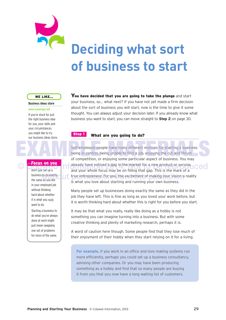

# **Deciding what sort of business to start**

# **WE LIKE…**

# **Business ideas store**

### www.scavenger.net

If you're stuck for just the right business idea for you, your skills and your circumstances, you might like to try our business ideas store.

# **Focus on you**

Don't just set up a business to do exactly the same as you did in your employed job without thinking hard about whether it is what you *really* want to do.

Starting a business to do what you've always done at work might just mean swapping one set of problems for more of the same.

**You have decided that you are going to take the plunge** and start your business, so… what next? If you have not yet made a firm decision about the sort of business you will start, now is the time to give it some thought. You can always adjust your decision later. If you already know what business you want to start, you can move straight to **Step 2** on page 30.

### **What are you going to do? Step 1**

Self-employed people have many different motives for starting a business: being in control, being unable to find a job, enjoying the cut and thrust of competition, or enjoying some particular aspect of business. You may **OCOB OF YOUR COBWORK A** already have noticed a gap in the market for a new product or service, **ICCO** and your whole focus may be on filling that gap. This is the mark of a to do exactly true entrepreneur. For you, the excitement of making your vision a reality<br>as you did is what you love about starting and running your own business. Self-employed people have many different motives for starting a business:<br>being in control, being unable to find a job, enjoying the cut and thrust<br>of competition, or enjoying some particular aspect of business. You may

> Many people set up businesses doing exactly the same as they did in the job they have left. This is fine as long as you loved your work before, but it is worth thinking hard about whether this is right for you before you start.

It may be that what you really, really like doing as a hobby is not something you can imagine turning into a business. But with some creative thinking and plenty of marketing research, perhaps it is.

A word of caution here though. Some people find that they lose much of their enjoyment of their hobby when they start relying on it for a living.

**For example,** if you work in an office and love making systems run more efficiently, perhaps you could set up a business consultancy, advising other companies. Or you may have been producing something as a hobby and find that so many people are buying it from you that you now have a long waiting list of customers.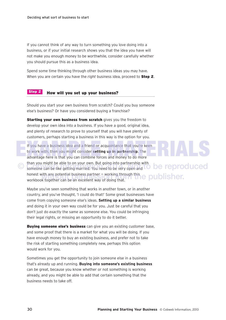If you cannot think of any way to turn something you love doing into a business, or if your initial research shows you that the idea you have will not make you enough money to be worthwhile, consider carefully whether you should pursue this as a business idea.

Spend some time thinking through other business ideas you may have. When you are certain you have the *right* business idea, proceed to **Step 2**.

### **How will you set up your business? Step 2**

Should you start your own business from scratch? Could you buy someone else's business? Or have you considered buying a franchise?

**Starting your own business from scratch** gives you the freedom to develop your own idea into a business. If you have a good, original idea, and plenty of research to prove to yourself that you will have plenty of customers, perhaps starting a business in this way is the option for you.

If you have a business idea and a friend or acquaintance that you're keen to work with, then you might consider **setting up in partnership**. The advantage here is that you can combine forces and money to do more than you might be able to on your own. But going into partnership with Cobwer can be like getting married. You need to be very open and **TO be reproduced** honest with any potential business partner — working through this honest with any potential business partner – working through this encoupled isher.<br>workbook together can be an excellent way of doing that. If you have a business idea and a friend or acquaintance that you're keen<br>to work with, then you might consider setting up in partnership. The<br>advantage here is that you can combine forces and money to do more

Maybe you've seen something that works in another town, or in another country, and you've thought, 'I could do that!' Some great businesses have come from copying someone else's ideas. **Setting up a similar business** and doing it in your own way could be for you. Just be careful that you don't just do *exactly* the same as someone else. You could be infringing their legal rights, or missing an opportunity to do it better.

**Buying someone else's business** can give you an existing customer base, and some proof that there is a market for what you will be doing. If you have enough money to buy an existing business, and prefer not to take the risk of starting something completely new, perhaps this option would work for you.

Sometimes you get the opportunity to join someone else in a business that's already up and running. **Buying into someone's existing business** can be great, because you know whether or not something is working already, and you might be able to add that certain something that the business needs to take off.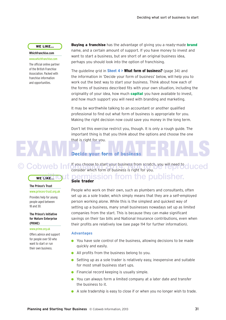# **WE LIKE…**

### **Whichfranchise.com**

www.whichfranchise.com The official online partner of the British Franchise Association. Packed with franchise information and opportunities.

**WE LIKE…**

**The Prince's Trust** www.princes-trust.org.uk Provides help for young people aged between

**The Prince's Initiative for Mature Enterprise**

www.prime.org.uk Offers advice and support for people over 50 who want to start or run their own business.

18 and 30.

**(PRIME)**

**Buying a franchise** has the advantage of giving you a ready-made **brand** name, and a certain amount of support. If you have money to invest and want to start a business, but are short of an original business idea, perhaps you should look into the option of franchising.

The guideline grid in **Sheet 4 > What form of business?** (page 34) and the information in 'Decide your form of business' below, will help you to work out the best way to start your business. Think about how each of the forms of business described fits with your own situation, including the originality of your idea, how much **capital** you have available to invest, and how much support you will need with branding and marketing.

It may be worthwhile talking to an accountant or another qualified professional to find out what form of business is appropriate for you. Making the right decision now could save you money in the long term.

Don't let this exercise restrict you, though. It is only a rough guide. The important thing is that you think about the options and choose the one that is right for you.

# **Decide your form of business**  EXAMPLE Decide your form of business ERIALS

**Cobweb Information** choose to start your business from scratch, you will need to cluced consider which form of business is right for you.

# **Sole trader** ermission from the publisher.

# People who work on their own, such as plumbers and consultants, often set up as a sole trader, which simply means that they are a self-employed person working alone. While this is the simplest and quickest way of setting up a business, many small businesses nowadays set up as limited companies from the start. This is because they can make significant savings on their tax bills and National Insurance contributions, even when their profits are relatively low (see page 114 for further information).

# **Advantages**

- $\bullet$  You have sole control of the business, allowing decisions to be made quickly and easily.
- **All profits from the business belong to you.**
- $\bullet$  Setting up as a sole trader is relatively easy, inexpensive and suitable for most small business start ups.
- $\bullet$  Financial record keeping is usually simple.
- **.** You can always form a limited company at a later date and transfer the business to it.
- A sole tradership is easy to close if or when you no longer wish to trade.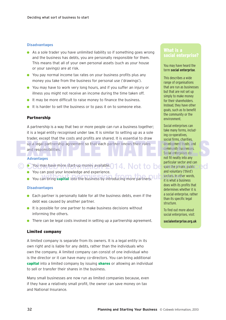# **Disadvantages**

- $\bullet$  As a sole trader you have unlimited liability so if something goes wrong and the business has debts, you are personally responsible for them. This means that all of your own personal assets (such as your house or your savings) are at risk.
- **.** You pay normal income tax rates on your business profits plus any money you take from the business for personal use ('drawings').
- **.** You may have to work very long hours, and if you suffer an injury or illness you might not receive an income during the time taken off.
- $\bullet$  It may be more difficult to raise money to finance the business.
- $\bullet$  It is harder to sell the business or to pass it on to someone else.

# **Partnership**

A partnership is a way that two or more people can run a business together; it is a legal entity recognised under law. It is similar to setting up as a sole trader, except that the costs and profits are shared. It is essential to draw up a legal partnership agreement so that each partner knows their roles<br>
and responsibilities.<br>
Advantages<br>
Advantages<br>
Advantages<br>
Advantages<br>
Advantages<br>
Advantages<br>
Advantages<br>
Advantages<br>
Advantages<br>
Advantages<br>
Advant and responsibilities.

# **Advantages**

- C CYou may have more start-up money available. 014. Not to be span the private, public
	- **•** You can pool your knowledge and experience.
	- **a** You can bring **capital** into the business by introducing more partners. Una sectors In other You can bring **capital** into the business by introducing more partners.

# **Disadvantages**

- $\bullet$  Each partner is personally liable for all the business debts, even if the debt was caused by another partner.
- $\bullet$  It is possible for one partner to make business decisions without informing the others.
- $\bullet$  There can be legal costs involved in setting up a partnership agreement.

# **Limited company**

A limited company is separate from its owners. It is a legal entity in its own right and is liable for any debts, rather than the individuals who own the company. A limited company can consist of one individual who is the director or it can have many co-directors. You can bring additional **capital** into a limited company by issuing **shares** or allowing an individual to sell or transfer their shares in the business.

Many small businesses are now run as limited companies because, even if they have a relatively small profit, the owner can save money on tax and National Insurance.

# **social enterprise?**

# You may have heard the term **social enterprise**.

This describes a wide range of organisations that are run as businesses but that are not set up simply to make money for their shareholders. Instead, they have other goals, such as to benefit the community or the environment.

Social enterprises can take many forms, including co-operatives, social firms, charities, development trusts, and community businesses. Social enterprises do not fit neatly into any particular sector and can span the private, public and voluntary ('third') sectors. In other words, it is what a business does with its profits that determines whether it is a social enterprise, rather than its specific legal structure.

To find out more about social enterprises, visit:

**socialenterprise.org.uk**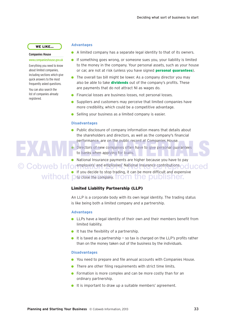## **WE LIKE…**

### **Companies House**

### www.companieshouse.gov.uk

Everything you need to know about limited companies, including sections which give quick answers to the most frequently asked questions. You can also search the list of companies already registered.

# **Advantages**

- $\bullet$  A limited company has a separate legal identity to that of its owners.
- **If something goes wrong, or someone sues you, your liability is limited** to the money in the company. Your personal assets, such as your house or car, are not at risk (unless you have signed **personal guarantees**).
- $\bullet$  The overall tax bill might be lower. As a company director you may also be able to take **dividends** out of the company's profits. These are payments that do not attract NI as wages do.
- **.** Financial losses are business losses, not personal losses.
- **.** Suppliers and customers may perceive that limited companies have more credibility, which could be a competitive advantage.
- $\bullet$  Selling your business as a limited company is easier.

# **Disadvantages**

- $\bullet$  Public disclosure of company information means that details about the shareholders and directors, as well as the company's financial performance, are on the public record at Companies House.
- $\bullet$  Directors of new companies often have to give personal guarantees to banks when applying for loans. performance, are on the public record at Companies House.<br>Directors of new companies often have to give personal guarantees<br>to banks when applying for loans.<br>National Insurance payments are higher because you have to pay
- l National Insurance payments are higher because you have to pay © Cobweb Informations' and employees' National Insurance contributions oduced

 $\bullet$  If you decide to stop trading, it can be more difficult and expensive without pto close the company. from the publisher.

# **Limited Liability Partnership (LLP)**

An LLP is a corporate body with its own legal identity. The trading status is like being both a limited company and a partnership.

## **Advantages**

- **In LLPs have a legal identity of their own and their members benefit from** limited liability.
- $\bullet$  It has the flexibility of a partnership.
- $\bullet$  It is taxed as a partnership so tax is charged on the LLP's profits rather than on the money taken out of the business by the individuals.

# **Disadvantages**

- **.** You need to prepare and file annual accounts with Companies House.
- $\bullet$  There are other filing requirements with strict time limits.
- $\bullet$  Formation is more complex and can be more costly than for an ordinary partnership.
- $\bullet$  It is important to draw up a suitable members' agreement.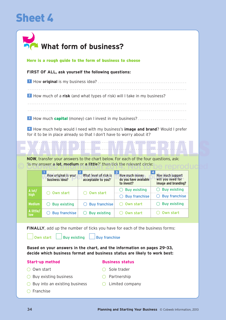# **Sheet 4**

|                  |                                        | What form of business?                                  |                                                                                                                                                                         |                                                              |
|------------------|----------------------------------------|---------------------------------------------------------|-------------------------------------------------------------------------------------------------------------------------------------------------------------------------|--------------------------------------------------------------|
|                  |                                        | Here is a rough guide to the form of business to choose |                                                                                                                                                                         |                                                              |
|                  |                                        | FIRST OF ALL, ask yourself the following questions:     |                                                                                                                                                                         |                                                              |
|                  |                                        |                                                         |                                                                                                                                                                         |                                                              |
|                  |                                        |                                                         | 2 How much of a risk (and what types of risk) will I take in my business?                                                                                               |                                                              |
|                  |                                        |                                                         | 3 How much <b>capital</b> (money) can I invest in my business?                                                                                                          |                                                              |
|                  |                                        |                                                         | 4 How much help would I need with my business's <b>image and brand</b> ? Would I prefer<br>for it to be in place already so that I don't have to worry about it?        |                                                              |
|                  |                                        |                                                         |                                                                                                                                                                         |                                                              |
|                  |                                        |                                                         |                                                                                                                                                                         |                                                              |
|                  |                                        |                                                         | <b>NOW</b> , transfer your answers to the chart below. For each of the four questions, ask:<br>'is my answer a lot, medium or a little?' then tick the relevant circle: |                                                              |
|                  | How original is your<br>business idea? | What level of risk is<br>acceptable to you?             | How much money<br>do you have available<br>to invest?                                                                                                                   | How much support<br>will you need for<br>image and branding? |
| A lot/           | Own start                              | Own start                                               | $\bigcirc$ Buy existing                                                                                                                                                 | $\bigcirc$ Buy existing                                      |
| high             |                                        |                                                         | $\bigcirc$ Buy franchise                                                                                                                                                | $\bigcirc$ Buy franchise                                     |
| <b>Medium</b>    | <b>Buy existing</b>                    | <b>Buy franchise</b>                                    | Own start                                                                                                                                                               | <b>Buy existing</b>                                          |
| A little/<br>low | <b>Buy franchise</b><br>( )            | <b>Buy existing</b>                                     | Own start                                                                                                                                                               | Own start                                                    |
|                  | Own start<br><b>Buy existing</b>       | <b>Buy franchise</b>                                    | FINALLY, add up the number of ticks you have for each of the business forms:<br>Based on your answers in the chart, and the information on pages 29-33,                 |                                                              |
|                  | <b>Start-up method</b>                 |                                                         | decide which business format and business status are likely to work best:<br><b>Business status</b>                                                                     |                                                              |

 $\bigcirc$  Franchise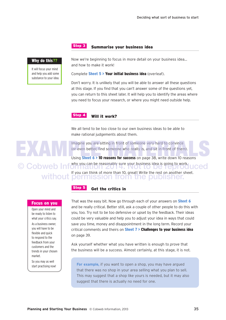# **Step 3**

## **Summarise your business idea**

# **Why do this??**

It will focus your mind and help you add some substance to your idea. Now we're beginning to focus in more detail on your business idea… and how to make it work!

Complete **Sheet 5 > Your initial business idea** (overleaf).

Don't worry. It is unlikely that you will be able to answer all these questions at this stage. If you find that you can't answer some of the questions yet, you can return to this sheet later. It will help you to identify the areas where you need to focus your research, or where you might need outside help.

### **Will it work? Step 4**

We all tend to be too close to our own business ideas to be able to make rational judgements about them.

Imagine you are sitting in front of someone very hard to convince<br>
(or even better, find someone who really is, and sit in front of them).<br>
Using Sheet 6 > 10 reasons for success on page 38, write down 10 reasons (or even better, find someone who really is, and sit in front of them).

Using **Sheet 6 > 10 reasons for success** on page 38, write down 10 reasons why you can be reasonably sure your business idea is going to work. If you can think of more than 10, great! Write the rest on another sheet. C Cobweb Information 2014. without permission from the publisher.

**Get the critics in**

Open your mind and be ready to listen to what your critics say.

**Focus on you**

As a business owner, you will have to be flexible and quick to respond to the feedback from your customers and the trends in your chosen market.

So you may as well start practising now! That was the easy bit. Now go through each of your answers on **Sheet 6**

and be really critical. Better still, ask a couple of other people to do this with you, too. Try not to be too defensive or upset by the feedback. Their ideas could be very valuable and help you to adjust your idea in ways that could save you time, money and disappointment in the long term. Record your critical comments and theirs on **Sheet 7 > Challenges to your business idea** on page 39.

Ask yourself whether what you have written is enough to *prove* that the business will be a success. Almost certainly, at this stage, it is not.

**For example,** if you want to open a shop, you may have argued that there was no shop in your area selling what you plan to sell. This may suggest that a shop like yours is needed, but it may also suggest that there is actually no need for one.

**Step 5**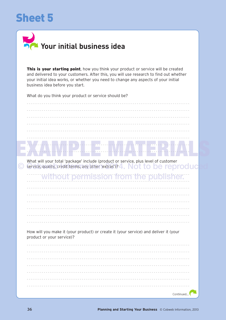# **Sheet 5**



This is your starting point, how you think your product or service will be created and delivered to your customers. After this, you will use research to find out whether your initial idea works, or whether you need to change any aspects of your initial business idea before you start.

What do you think your product or service should be?

| What will your total 'package' include (product or service, plus level of customer<br>service, quality, credit terms, any other lextras')? 4. Not to be reproduc |
|------------------------------------------------------------------------------------------------------------------------------------------------------------------|
| without permission from the publisher.                                                                                                                           |
|                                                                                                                                                                  |
|                                                                                                                                                                  |
|                                                                                                                                                                  |
|                                                                                                                                                                  |
|                                                                                                                                                                  |
|                                                                                                                                                                  |
| How will you make it (your product) or create it (your service) and deliver it (your<br>product or your service)?                                                |
|                                                                                                                                                                  |
|                                                                                                                                                                  |
|                                                                                                                                                                  |
|                                                                                                                                                                  |
|                                                                                                                                                                  |
|                                                                                                                                                                  |
|                                                                                                                                                                  |
| Continued                                                                                                                                                        |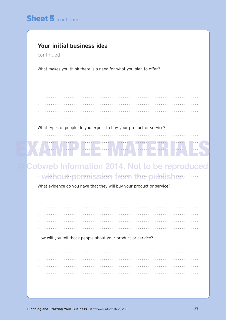# Your initial business idea

# continued

What makes you think there is a need for what you plan to offer?

What types of people do you expect to buy your product or service?

# bbweb Information 2014. Not to be reproduced ..without permission from the publisher.

. . . . . . . . . . .

What evidence do you have that they will buy your product or service?

How will you tell those people about your product or service?